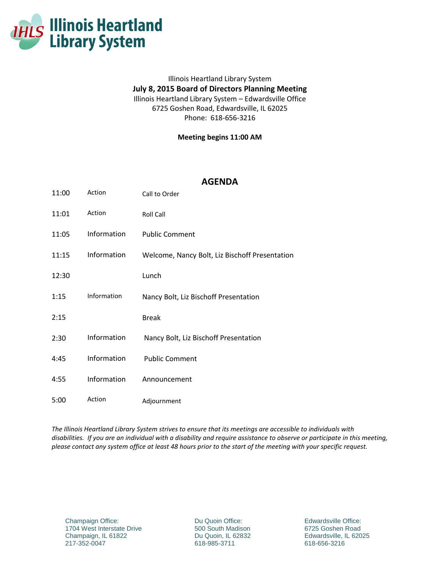

## Illinois Heartland Library System **July 8, 2015 Board of Directors Planning Meeting** Illinois Heartland Library System – Edwardsville Office 6725 Goshen Road, Edwardsville, IL 62025 Phone: 618-656-3216

**Meeting begins 11:00 AM**

## **AGENDA**

| 11:00 | Action      | Call to Order                                  |
|-------|-------------|------------------------------------------------|
| 11:01 | Action      | <b>Roll Call</b>                               |
| 11:05 | Information | <b>Public Comment</b>                          |
| 11:15 | Information | Welcome, Nancy Bolt, Liz Bischoff Presentation |
| 12:30 |             | Lunch                                          |
| 1:15  | Information | Nancy Bolt, Liz Bischoff Presentation          |
| 2:15  |             | <b>Break</b>                                   |
| 2:30  | Information | Nancy Bolt, Liz Bischoff Presentation          |
| 4:45  | Information | <b>Public Comment</b>                          |
| 4:55  | Information | Announcement                                   |
| 5:00  | Action      | Adjournment                                    |

*The Illinois Heartland Library System strives to ensure that its meetings are accessible to individuals with disabilities. If you are an individual with a disability and require assistance to observe or participate in this meeting, please contact any system office at least 48 hours prior to the start of the meeting with your specific request.*

Champaign Office: 1704 West Interstate Drive Champaign, IL 61822 217-352-0047

Du Quoin Office: 500 South Madison Du Quoin, IL 62832 618-985-3711

Edwardsville Office: 6725 Goshen Road Edwardsville, IL 62025 618-656-3216